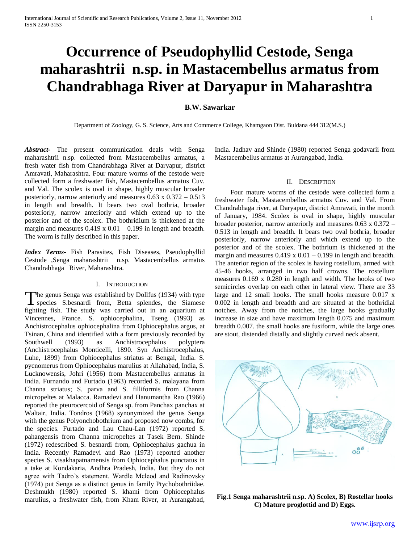# **Occurrence of Pseudophyllid Cestode, Senga maharashtrii n.sp. in Mastacembellus armatus from Chandrabhaga River at Daryapur in Maharashtra**

# **B.W. Sawarkar**

Department of Zoology, G. S. Science, Arts and Commerce College, Khamgaon Dist. Buldana 444 312(M.S.)

*Abstract***-** The present communication deals with Senga maharashtrii n.sp. collected from Mastacembellus armatus, a fresh water fish from Chandrabhaga River at Daryapur, district Amravati, Maharashtra. Four mature worms of the cestode were collected form a freshwater fish, Mastacembellus armatus Cuv. and Val. The scolex is oval in shape, highly muscular broader posteriorly, narrow anteriorly and measures  $0.63 \times 0.372 - 0.513$ in length and breadth. It bears two oval bothria, broader posteriorly, narrow anteriorly and which extend up to the posterior and of the scolex. The bothridium is thickened at the margin and measures  $0.419 \times 0.01 - 0.199$  in length and breadth. The worm is fully described in this paper.

*Index Terms*- Fish Parasites, Fish Diseases, Pseudophyllid Cestode ,Senga maharashtrii n.sp. Mastacembellus armatus Chandrabhaga River, Maharashtra.

### I. INTRODUCTION

he genus Senga was established by Dollfus (1934) with type The genus Senga was established by Dollfus (1934) with type<br>species S.besnardi from, Betta splendes, the Siamese fighting fish. The study was carried out in an aquarium at Vincennes, France. S. ophiocephalina, Tseng (1993) as Anchistrocephalus ophiocephalina from Ophiocephalus argus, at Tsinan, China and identified with a form previously recorded by Southwell (1993) as Anchistrocephalus polyptera (Anchistrocephalus Monticelli, 1890. Syn Anchistrocephalus, Luhe, 1899) from Ophiocephalus striatus at Bengal, India. S. pycnomerus from Ophiocephalus marulius at Allahabad, India, S. Lucknowensis, Johri (1956) from Mastacembellus armatus in India. Furnando and Furtado (1963) recorded S. malayana from Channa striatus; S. parva and S. filliformis from Channa micropeltes at Malacca. Ramadevi and Hanumantha Rao (1966) reported the pteurocercoid of Senga sp. from Panchax panchax at Waltair, India. Tondros (1968) synonymized the genus Senga with the genus Polyonchobothrium and proposed now combs, for the species. Furtado and Lau Chau-Lan (1972) reported S. pahangensis from Channa micropeltes at Tasek Bern. Shinde (1972) redescribed S. besnardi from, Ophiocephalus gachua in India. Recently Ramadevi and Rao (1973) reported another species S. visakhapatnamensis from Ophiocephalus punctatus in a take at Kondakaria, Andhra Pradesh, India. But they do not agree with Tadro's statement. Wardle Mcleod and Radinovsky (1974) put Senga as a distinct genus in family Ptychobothriidae. Deshmukh (1980) reported S. khami from Ophiocephalus marulius, a freshwater fish, from Kham River, at Aurangabad,

India. Jadhav and Shinde (1980) reported Senga godavarii from Mastacembellus armatus at Aurangabad, India.

## II. DESCRIPTION

 Four mature worms of the cestode were collected form a freshwater fish, Mastacembellus armatus Cuv. and Val. From Chandrabhaga river, at Daryapur, district Amravati, in the month of January, 1984. Scolex is oval in shape, highly muscular broader posterior, narrow anteriorly and measures 0.63 x 0.372 – 0.513 in length and breadth. It bears two oval bothria, broader posteriorly, narrow anteriorly and which extend up to the posterior and of the scolex. The bothrium is thickened at the margin and measures  $0.419 \times 0.01 - 0.199$  in length and breadth. The anterior region of the scolex is having rostellum, armed with 45-46 hooks, arranged in two half crowns. The rostellum measures 0.169 x 0.280 in length and width. The hooks of two semicircles overlap on each other in lateral view. There are 33 large and 12 small hooks. The small hooks measure 0.017 x 0.002 in length and breadth and are situated at the bothridial notches. Away from the notches, the large hooks gradually increase in size and have maximum length 0.075 and maximum breadth 0.007. the small hooks are fusiform, while the large ones are stout, distended distally and slightly curved neck absent.



**Fig.1 Senga maharashtrii n.sp. A) Scolex, B) Rostellar hooks C) Mature proglottid and D) Eggs.**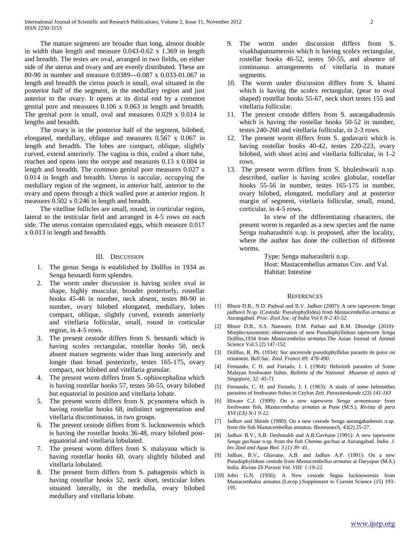The mature segments are broader than long, almost double in width than length and measure 0.043-0.62 x 1.369 in length and breadth. The testes are oval, arranged in two fields, on either side of the uterus and ovary and are evenly distributed. These are 80-90 in number and measure 0.0389---0.087 x 0.033-01.067 in length and breadth the cirrus pouch is small, oval situated in the posterior half of the segment, in the medullary region and just anterior to the ovary. It opens at its distal end by a common genital pore and measures 0.106 x 0.063 in length and breadth. The genital pore is small, oval and measures 0.029 x 0.014 in lengths and breadth.

 The ovary is in the posterior half of the segment, bilobed, elongated, medullary, oblique and measures 0.567 x 0.067 in length and breadth. The lobes are compact, oblique, slightly curved, extend anteriorly. The vagina is thin, coiled a short tube, reaches and opens into the ootype and measures 0.13 x 0.004 in length and breadth. The common genital pore measures 0.027 x 0.014 in length and breadth. Uterus is saccular, occupying the medullary region of the segment, in anterior half, anterior to the ovary and opens through a thick walled pore at anterior region. It measures 0.502 x 0.246 in length and breadth.

 The vitelline follicles are small, round, in corticular region, lateral to the testicular field and arranged in 4-5 rows on each side. The uterus contains operculated eggs, which measure 0.017 x 0.013 in length and breadth.

## III. DISCUSSION

- 1. The genus Senga is established by Dollfus in 1934 as Senga besnardi form splendes.
- 2. The worm under discussion is having scolex oval in shape, highly muscular, broader posteriorly, rostellar hooks 45-46 in number, neck absent, testes 80-90 in number, ovary bilobed elongated, medullary, lobes compact, oblique, slightly curved, extends anteriorly and vitellaria follicular, small, round in corticular region, in 4-5 rows.
- 3. The present cestode differs from S. besnardi which is having scolex rectangular, rostellar hooks 50, neck absent mature segments wider than long anteriorly and longer than broad posteriorly, testes 165-175, ovary compact, not bilobed and vitellaria granular.
- 4. The present worm differs from S. ophiocephalina which is having rostellar hooks 57, testes 50-55, ovary bilobed but equatorial in position and vitellaria lobate.
- 5. The present worm differs from S. pcynomera which is having rostellar hooks 68, indistinct segmentation and vitellaria discontinuous, in two groups.
- 6. The present cestode differs from S. lucknowensis which is having the rostellar hooks 36-48, ovary bilobed postequatorial and vitellaria lobulated.
- 7. The present worm differs from S. malayana which is having rostellar hooks 60, ovary slightly bilobed and vitellaria lobulated.
- 8. The present form differs from S. pahagensis which is having rostellar hooks 52, neck short, testicular lobes situated laterally, in the medulla, ovary bilobed medullary and vitellaria lobate.
- 9. The worm under discussion differs from S. visakhapatnamensis which is having scolex rectangular, rostellar hooks 46-52, testes 50-55, and absence of continuous arrangements of vitellaria in mature segments.
- 10. The worm under discussion differs from S. khami which is having the scolex rectangular, (pear to oval shaped) rostellar hooks 55-67, neck short testes 155 and vitellaria follicular.
- 11. The present cestode differs from S. aurangabadensis which is having the rostellar hooks 50-52 in number, testes 240-260 and vitellaria follicular, in 2-3 rows.
- 12. The present worm differs from S. godavarii which is having rostellar hooks 40-42, testes 220-223, ovary bilobed, with short acini and vitellaria follicular, in 1-2 rows.
- 13. The present worm differs from S. bhuleshwarii n.sp. described, earlier is having scolex globular, rostellar hooks 55-56 in number, testes 165-175 in number, ovary bilobed, elongated, medullary and at posterior margin of segment, vitellaria follicular, small, round, corticular, in 4-5 rows.

In view of the differentiating characters, the present worm is regarded as a new species and the name Senga maharashtrii n.sp. is proposed, after the locality, where the author has done the collection of different worms.

> Type: Senga maharashtrii n.sp. Host: Mastacembellus armatus Cuv. and Val. Habitat: Intestine

#### **REFERENCES**

- [1] Bhure D.B., N.D. Padwal and B.V. Jadhav (2007): A new tapeworm *Senga jadhavii* N.sp. (Cestoda: Pseudophyllidea) from *Mastacembellus armatus* at Aurangabad. *Proc. Zool.Soc. of India Vol 6 N-2 45-52.*
- [2] Bhure D.B., S.S. Nanware, D.M. Pathan and R.M. Dhondge (2010)-Morpho-taxonomic observation of new Pseudophyllidean tapeworm *Senga*  Dollfus,1934 from *Mastacembelus armatus*.The Asian Journal of Animal Science Vol.5 (2) 147-152.
- [3] Dollfus, R. Ph. (1934): Sur uncestode pseudophyllidae parasite de poiss on ornament. *Bull.Sac. Zool. France 69: 476-490.*
- [4] Fernando, C H. and Furtado, J. I. (1964): Helminth parasites of Some Malayan freshwater fishes. *Bulletin of the National Museum of states of Singapore, 32: 45-71.*
- [5] Fernando, C. H. and Furtado, J. I. (1963): A study of some helminthes parasites of freshwater fishes in Ceylon *Zeit. Parasitenkunde (23) 141-163*
- [6] Hiware C.J. (1999): On a new tapeworm *Senga armantusae* from freshwater fish, *Mastacembalus armatus* at Pune (M.S.). *Rivista di para XVI (LX) N-1 9-12.*
- [7] Jadhav and Shinde (1980): On a new cestode Senga aurangabadensis n.sp. from the fish Mastacembellus armatus. Bioresearch, 43(2) 25-27.
- [8] Jadhav B.V., S.B. Deshmukh and A.B.Gavhane (1991): A new tapeworm *Senga gachuae* n.sp. from the fish *Channa gachua* at Aurangabad. *India. J. Inv.Zool and Aqua Biol. 3 (1) 39- 41.*
- [9] Jadhav, B.V., Ghavane, A.B. and Jadhav A.P. (1991): On a new Pseudophylidean cestode from *Mastacembellus armatus* at Daryapur (M.S.) India. *Rivista Di Parasit Vol. VIII: 1:19-22.*
- [10] Johri G.N. (1956): A New cestode Segna lucknowensis from Mastacembalus armatus (Lecep.).Supplement to Current Science (15) 193- 195.